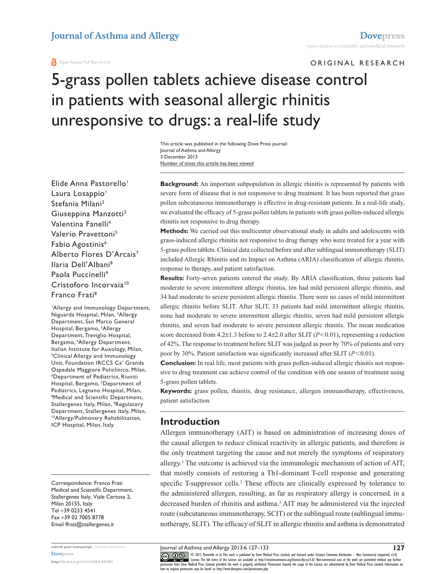#### **O** Open Access Full Text Article

ORIGINAL RESEARCH

# 5-grass pollen tablets achieve disease control in patients with seasonal allergic rhinitis unresponsive to drugs: a real-life study

Number of times this article has been viewed This article was published in the following Dove Press journal: Journal of Asthma and Allergy 3 December 2013

Elide Anna Pastorello<sup>1</sup> Laura Losappio<sup>1</sup> Stefania Milani2 Giuseppina Manzotti<sup>3</sup> Valentina Fanelli4 Valerio Pravettoni5 Fabio Agostinis<sup>6</sup> Alberto Flores D'Arcais<sup>7</sup> Ilaria Dell'Albani8 Paola Puccinelli<sup>9</sup> Cristoforo Incorvaia<sup>10</sup> Franco Frati8

1 Allergy and Immunology Department, Niguarda Hospital, Milan, 2 Allergy Department, San Marco General Hospital, Bergamo, 3 Allergy Department, Treviglio Hospital, Bergamo, 4 Allergy Department, Italian Institute for Auxology, Milan, 5 Clinical Allergy and Immunology Unit, Foundation IRCCS Ca' Granda Ospedale Maggiore Policlinico, Milan, 6 Department of Pediatrics, Riuniti Hospital, Bergamo, 7 Department of Pediatrics, Legnano Hospital, Milan, Medical and Scientific Department, Stallergenes Italy, Milan, 9 Regulatory Department, Stallergenes Italy, Milan, 10Allergy/Pulmonary Rehabilitation, ICP Hospital, Milan, Italy

Correspondence: Franco Frati Medical and Scientific Department, Stallergenes Italy, Viale Certosa 2, Milan 20155, Italy Tel +39 0233 4541 Fax +39 02 7005 8778 Email [ffrati@stallergenes.it](mailto:ffrati@stallergenes.it)

**submit your manuscript** | <www.dovepress.com> **[Dovepress](www.dovepress.com)**

**<http://dx.doi.org/10.2147/JAA.S53801>**

**Background:** An important subpopulation in allergic rhinitis is represented by patients with severe form of disease that is not responsive to drug treatment. It has been reported that grass pollen subcutaneous immunotherapy is effective in drug-resistant patients. In a real-life study, we evaluated the efficacy of 5-grass pollen tablets in patients with grass pollen-induced allergic rhinitis not responsive to drug therapy.

**Methods:** We carried out this multicenter observational study in adults and adolescents with grass-induced allergic rhinitis not responsive to drug therapy who were treated for a year with 5-grass pollen tablets. Clinical data collected before and after sublingual immunotherapy (SLIT) included Allergic Rhinitis and its Impact on Asthma (ARIA) classification of allergic rhinitis, response to therapy, and patient satisfaction.

**Results:** Forty-seven patients entered the study. By ARIA classification, three patients had moderate to severe intermittent allergic rhinitis, ten had mild persistent allergic rhinitis, and 34 had moderate to severe persistent allergic rhinitis. There were no cases of mild intermittent allergic rhinitis before SLIT. After SLIT, 33 patients had mild intermittent allergic rhinitis, none had moderate to severe intermittent allergic rhinitis, seven had mild persistent allergic rhinitis, and seven had moderate to severe persistent allergic rhinitis. The mean medication score decreased from 4.2±1.3 before to 2.4±2.0 after SLIT (*P*<0.01), representing a reduction of 42%. The response to treatment before SLIT was judged as poor by 70% of patients and very poor by 30%. Patient satisfaction was significantly increased after SLIT  $(P<0.01)$ .

**Conclusion:** In real life, most patients with grass pollen-induced allergic rhinitis not responsive to drug treatment can achieve control of the condition with one season of treatment using 5-grass pollen tablets.

**Keywords:** grass pollen, rhinitis, drug resistance, allergen immunotherapy, effectiveness, patient satisfaction

### **Introduction**

Allergen immunotherapy (AIT) is based on administration of increasing doses of the causal allergen to reduce clinical reactivity in allergic patients, and therefore is the only treatment targeting the cause and not merely the symptoms of respiratory allergy.<sup>1</sup> The outcome is achieved via the immunologic mechanism of action of AIT, that mostly consists of restoring a Th1-dominant T-cell response and generating specific T-suppressor cells.<sup>2</sup> These effects are clinically expressed by tolerance to the administered allergen, resulting, as far as respiratory allergy is concerned, in a decreased burden of rhinitis and asthma.3 AIT may be administered via the injected route (subcutaneous immunotherapy, SCIT) or the sublingual route (sublingual immunotherapy, SLIT). The efficacy of SLIT in allergic rhinitis and asthma is demonstrated

Journal of Asthma and Allergy 2013:6 127–133

CO ODI3 Pastorello et al. This work is published by Dove Medical Press Limited, and licensed under Creative Commons Attribution - Non Commercial (unported, v3.0)<br> [permission from Dove M](http://www.dovepress.com/permissions.php)edical Press Limited, provided the wo how to request permission may be found at: http://www.dovepress.com/permissions.php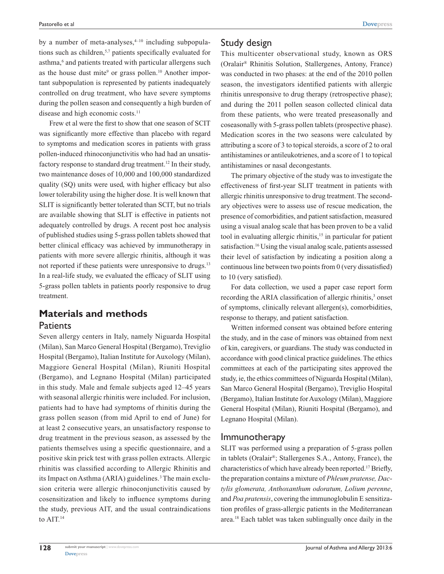by a number of meta-analyses, $4-10$  including subpopulations such as children,<sup>5,7</sup> patients specifically evaluated for asthma,<sup>6</sup> and patients treated with particular allergens such as the house dust mite<sup>9</sup> or grass pollen.<sup>10</sup> Another important subpopulation is represented by patients inadequately controlled on drug treatment, who have severe symptoms during the pollen season and consequently a high burden of disease and high economic costs.<sup>11</sup>

Frew et al were the first to show that one season of SCIT was significantly more effective than placebo with regard to symptoms and medication scores in patients with grass pollen-induced rhinoconjunctivitis who had had an unsatisfactory response to standard drug treatment.<sup>12</sup> In their study, two maintenance doses of 10,000 and 100,000 standardized quality (SQ) units were used, with higher efficacy but also lower tolerability using the higher dose. It is well known that SLIT is significantly better tolerated than SCIT, but no trials are available showing that SLIT is effective in patients not adequately controlled by drugs. A recent post hoc analysis of published studies using 5-grass pollen tablets showed that better clinical efficacy was achieved by immunotherapy in patients with more severe allergic rhinitis, although it was not reported if these patients were unresponsive to drugs.<sup>13</sup> In a real-life study, we evaluated the efficacy of SLIT using 5-grass pollen tablets in patients poorly responsive to drug treatment.

# **Materials and methods Patients**

Seven allergy centers in Italy, namely Niguarda Hospital (Milan), San Marco General Hospital (Bergamo), Treviglio Hospital (Bergamo), Italian Institute for Auxology (Milan), Maggiore General Hospital (Milan), Riuniti Hospital (Bergamo), and Legnano Hospital (Milan) participated in this study. Male and female subjects aged 12–45 years with seasonal allergic rhinitis were included. For inclusion, patients had to have had symptoms of rhinitis during the grass pollen season (from mid April to end of June) for at least 2 consecutive years, an unsatisfactory response to drug treatment in the previous season, as assessed by the patients themselves using a specific questionnaire, and a positive skin prick test with grass pollen extracts. Allergic rhinitis was classified according to Allergic Rhinitis and its Impact on Asthma (ARIA) guidelines.<sup>3</sup> The main exclusion criteria were allergic rhinoconjunctivitis caused by cosensitization and likely to influence symptoms during the study, previous AIT, and the usual contraindications to AIT.<sup>14</sup>

**[Dovepress](www.dovepress.com)** 

This multicenter observational study, known as ORS (Oralair® Rhinitis Solution, Stallergenes, Antony, France) was conducted in two phases: at the end of the 2010 pollen season, the investigators identified patients with allergic rhinitis unresponsive to drug therapy (retrospective phase); and during the 2011 pollen season collected clinical data from these patients, who were treated preseasonally and coseasonally with 5-grass pollen tablets (prospective phase). Medication scores in the two seasons were calculated by attributing a score of 3 to topical steroids, a score of 2 to oral antihistamines or antileukotrienes, and a score of 1 to topical antihistamines or nasal decongestants.

The primary objective of the study was to investigate the effectiveness of first-year SLIT treatment in patients with allergic rhinitis unresponsive to drug treatment. The secondary objectives were to assess use of rescue medication, the presence of comorbidities, and patient satisfaction, measured using a visual analog scale that has been proven to be a valid tool in evaluating allergic rhinitis,<sup>15</sup> in particular for patient satisfaction.16 Using the visual analog scale, patients assessed their level of satisfaction by indicating a position along a continuous line between two points from 0 (very dissatisfied) to 10 (very satisfied).

For data collection, we used a paper case report form recording the ARIA classification of allergic rhinitis,<sup>3</sup> onset of symptoms, clinically relevant allergen(s), comorbidities, response to therapy, and patient satisfaction.

Written informed consent was obtained before entering the study, and in the case of minors was obtained from next of kin, caregivers, or guardians. The study was conducted in accordance with good clinical practice guidelines. The ethics committees at each of the participating sites approved the study, ie, the ethics committees of Niguarda Hospital (Milan), San Marco General Hospital (Bergamo), Treviglio Hospital (Bergamo), Italian Institute for Auxology (Milan), Maggiore General Hospital (Milan), Riuniti Hospital (Bergamo), and Legnano Hospital (Milan).

### Immunotherapy

SLIT was performed using a preparation of 5-grass pollen in tablets (Oralair®; Stallergenes S.A., Antony, France), the characteristics of which have already been reported.17 Briefly, the preparation contains a mixture of *Phleum pratense, Dactylis glomerata, Anthoxanthum odoratum, Lolium perenne*, and *Poa pratensis*, covering the immunoglobulin E sensitization profiles of grass-allergic patients in the Mediterranean area.18 Each tablet was taken sublingually once daily in the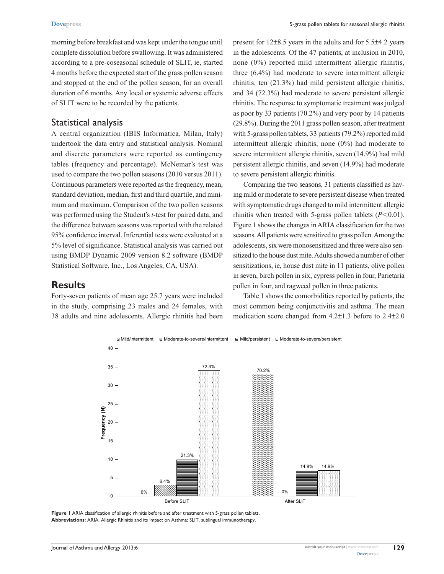morning before breakfast and was kept under the tongue until complete dissolution before swallowing. It was administered according to a pre-coseasonal schedule of SLIT, ie, started 4 months before the expected start of the grass pollen season and stopped at the end of the pollen season, for an overall duration of 6 months. Any local or systemic adverse effects of SLIT were to be recorded by the patients.

#### Statistical analysis

A central organization (IBIS Informatica, Milan, Italy) undertook the data entry and statistical analysis. Nominal and discrete parameters were reported as contingency tables (frequency and percentage). McNemar's test was used to compare the two pollen seasons (2010 versus 2011). Continuous parameters were reported as the frequency, mean, standard deviation, median, first and third quartile, and minimum and maximum. Comparison of the two pollen seasons was performed using the Student's *t*-test for paired data, and the difference between seasons was reported with the related 95% confidence interval. Inferential tests were evaluated at a 5% level of significance. Statistical analysis was carried out using BMDP Dynamic 2009 version 8.2 software (BMDP Statistical Software, Inc., Los Angeles, CA, USA).

#### **Results**

Forty-seven patients of mean age 25.7 years were included in the study, comprising 23 males and 24 females, with 38 adults and nine adolescents. Allergic rhinitis had been

present for 12±8.5 years in the adults and for 5.5±4.2 years in the adolescents. Of the 47 patients, at inclusion in 2010, none (0%) reported mild intermittent allergic rhinitis, three (6.4%) had moderate to severe intermittent allergic rhinitis, ten (21.3%) had mild persistent allergic rhinitis, and 34 (72.3%) had moderate to severe persistent allergic rhinitis. The response to symptomatic treatment was judged as poor by 33 patients (70.2%) and very poor by 14 patients (29.8%). During the 2011 grass pollen season, after treatment with 5-grass pollen tablets, 33 patients (79.2%) reported mild intermittent allergic rhinitis, none (0%) had moderate to severe intermittent allergic rhinitis, seven (14.9%) had mild persistent allergic rhinitis, and seven (14.9%) had moderate to severe persistent allergic rhinitis.

Comparing the two seasons, 31 patients classified as having mild or moderate to severe persistent disease when treated with symptomatic drugs changed to mild intermittent allergic rhinitis when treated with 5-grass pollen tablets  $(P<0.01)$ . Figure 1 shows the changes in ARIA classification for the two seasons. All patients were sensitized to grass pollen. Among the adolescents, six were monosensitized and three were also sensitized to the house dust mite. Adults showed a number of other sensitizations, ie, house dust mite in 11 patients, olive pollen in seven, birch pollen in six, cypress pollen in four, Parietaria pollen in four, and ragweed pollen in three patients.

Table 1 shows the comorbidities reported by patients, the most common being conjunctivitis and asthma. The mean medication score changed from 4.2±1.3 before to 2.4±2.0



**Figure 1** ARIA classification of allergic rhinitis before and after treatment with 5-grass pollen tablets. **Abbreviations:** ARIA, Allergic Rhinitis and its Impact on Asthma; SLIT, sublingual immunotherapy.

**129**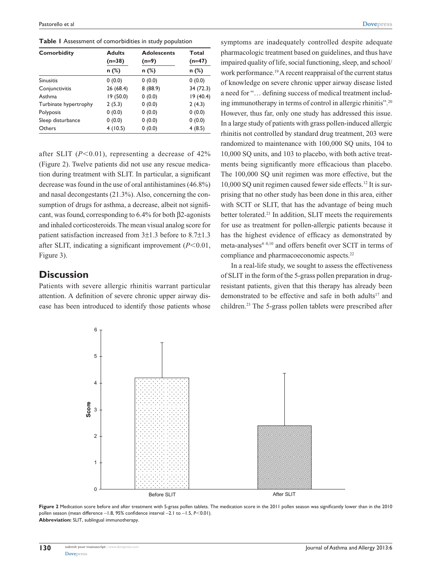**Table 1** Assessment of comorbidities in study population

| <b>Comorbidity</b>    | <b>Adults</b><br>$(n=38)$<br>$n$ (%) | <b>Adolescents</b><br>$(n=9)$<br>$n$ (%) | Total<br>(n=47)<br>n (%) |
|-----------------------|--------------------------------------|------------------------------------------|--------------------------|
|                       |                                      |                                          |                          |
| Conjunctivitis        | 26 (68.4)                            | 8(88.9)                                  | 34 (72.3)                |
| Asthma                | 19(50.0)                             | 0(0.0)                                   | 19(40.4)                 |
| Turbinate hypertrophy | 2(5.3)                               | 0(0.0)                                   | 2(4.3)                   |
| Polyposis             | 0(0.0)                               | 0(0.0)                                   | 0(0.0)                   |
| Sleep disturbance     | 0(0.0)                               | 0(0.0)                                   | 0(0.0)                   |
| Others                | 4(10.5)                              | 0(0.0)                                   | 4(8.5)                   |

after SLIT  $(P<0.01)$ , representing a decrease of 42% (Figure 2). Twelve patients did not use any rescue medication during treatment with SLIT. In particular, a significant decrease was found in the use of oral antihistamines (46.8%) and nasal decongestants (21.3%). Also, concerning the consumption of drugs for asthma, a decrease, albeit not significant, was found, corresponding to 6.4% for both β2-agonists and inhaled corticosteroids. The mean visual analog score for patient satisfaction increased from 3±1.3 before to 8.7±1.3 after SLIT, indicating a significant improvement  $(P<0.01$ , Figure 3).

## **Discussion**

Patients with severe allergic rhinitis warrant particular attention. A definition of severe chronic upper airway disease has been introduced to identify those patients whose symptoms are inadequately controlled despite adequate pharmacologic treatment based on guidelines, and thus have impaired quality of life, social functioning, sleep, and school/ work performance.<sup>19</sup> A recent reappraisal of the current status of knowledge on severe chronic upper airway disease listed a need for "… defining success of medical treatment including immunotherapy in terms of control in allergic rhinitis".20 However, thus far, only one study has addressed this issue. In a large study of patients with grass pollen-induced allergic rhinitis not controlled by standard drug treatment, 203 were randomized to maintenance with 100,000 SQ units, 104 to 10,000 SQ units, and 103 to placebo, with both active treatments being significantly more efficacious than placebo. The 100,000 SQ unit regimen was more effective, but the 10,000 SQ unit regimen caused fewer side effects.12 It is surprising that no other study has been done in this area, either with SCIT or SLIT, that has the advantage of being much better tolerated.<sup>21</sup> In addition, SLIT meets the requirements for use as treatment for pollen-allergic patients because it has the highest evidence of efficacy as demonstrated by meta-analyses<sup>4-8,10</sup> and offers benefit over SCIT in terms of compliance and pharmacoeconomic aspects.<sup>22</sup>

In a real-life study, we sought to assess the effectiveness of SLIT in the form of the 5-grass pollen preparation in drugresistant patients, given that this therapy has already been demonstrated to be effective and safe in both adults<sup>17</sup> and children.23 The 5-grass pollen tablets were prescribed after



**Figure 2** Medication score before and after treatment with 5-grass pollen tablets. The medication score in the 2011 pollen season was significantly lower than in the 2010 pollen season (mean difference −1.8, 95% confidence interval −2.1 to −1.5, *P*<0.01). **Abbreviation:** SLIT, sublingual immunotherapy.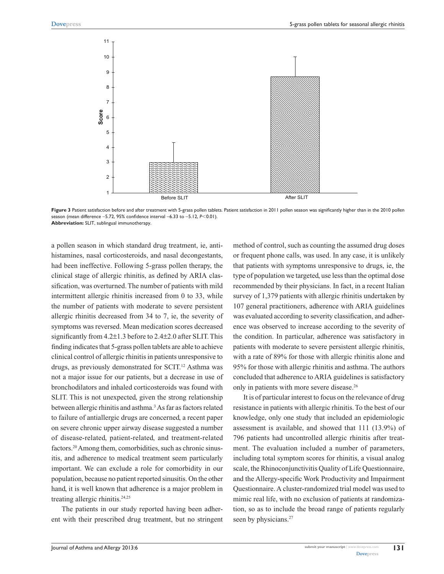

Figure 3 Patient satisfaction before and after treatment with 5-grass pollen tablets. Patient satisfaction in 2011 pollen season was significantly higher than in the 2010 pollen season (mean difference −5.72, 95% confidence interval −6.33 to −5.12, *P*<0.01). **Abbreviation:** SLIT, sublingual immunotherapy.

a pollen season in which standard drug treatment, ie, antihistamines, nasal corticosteroids, and nasal decongestants, had been ineffective. Following 5-grass pollen therapy, the clinical stage of allergic rhinitis, as defined by ARIA classification, was overturned. The number of patients with mild intermittent allergic rhinitis increased from 0 to 33, while the number of patients with moderate to severe persistent allergic rhinitis decreased from 34 to 7, ie, the severity of symptoms was reversed. Mean medication scores decreased significantly from 4.2±1.3 before to 2.4±2.0 after SLIT. This finding indicates that 5-grass pollen tablets are able to achieve clinical control of allergic rhinitis in patients unresponsive to drugs, as previously demonstrated for SCIT.<sup>12</sup> Asthma was not a major issue for our patients, but a decrease in use of bronchodilators and inhaled corticosteroids was found with SLIT. This is not unexpected, given the strong relationship between allergic rhinitis and asthma.<sup>3</sup> As far as factors related to failure of antiallergic drugs are concerned, a recent paper on severe chronic upper airway disease suggested a number of disease-related, patient-related, and treatment-related factors.<sup>20</sup> Among them, comorbidities, such as chronic sinusitis, and adherence to medical treatment seem particularly important. We can exclude a role for comorbidity in our population, because no patient reported sinusitis. On the other hand, it is well known that adherence is a major problem in treating allergic rhinitis.<sup>24,25</sup>

The patients in our study reported having been adherent with their prescribed drug treatment, but no stringent method of control, such as counting the assumed drug doses or frequent phone calls, was used. In any case, it is unlikely that patients with symptoms unresponsive to drugs, ie, the type of population we targeted, use less than the optimal dose recommended by their physicians. In fact, in a recent Italian survey of 1,379 patients with allergic rhinitis undertaken by 107 general practitioners, adherence with ARIA guidelines was evaluated according to severity classification, and adherence was observed to increase according to the severity of the condition. In particular, adherence was satisfactory in patients with moderate to severe persistent allergic rhinitis, with a rate of 89% for those with allergic rhinitis alone and 95% for those with allergic rhinitis and asthma. The authors concluded that adherence to ARIA guidelines is satisfactory only in patients with more severe disease.26

It is of particular interest to focus on the relevance of drug resistance in patients with allergic rhinitis. To the best of our knowledge, only one study that included an epidemiologic assessment is available, and showed that 111 (13.9%) of 796 patients had uncontrolled allergic rhinitis after treatment. The evaluation included a number of parameters, including total symptom scores for rhinitis, a visual analog scale, the Rhinoconjunctivitis Quality of Life Questionnaire, and the Allergy-specific Work Productivity and Impairment Questionnaire. A cluster-randomized trial model was used to mimic real life, with no exclusion of patients at randomization, so as to include the broad range of patients regularly seen by physicians.<sup>27</sup>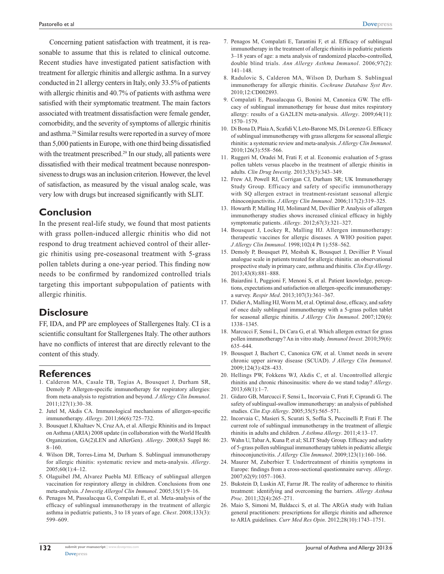Concerning patient satisfaction with treatment, it is reasonable to assume that this is related to clinical outcome. Recent studies have investigated patient satisfaction with treatment for allergic rhinitis and allergic asthma. In a survey conducted in 21 allergy centers in Italy, only 33.5% of patients with allergic rhinitis and 40.7% of patients with asthma were satisfied with their symptomatic treatment. The main factors associated with treatment dissatisfaction were female gender, comorbidity, and the severity of symptoms of allergic rhinitis and asthma.28 Similar results were reported in a survey of more than 5,000 patients in Europe, with one third being dissatisfied with the treatment prescribed.<sup>29</sup> In our study, all patients were dissatisfied with their medical treatment because nonresponsiveness to drugs was an inclusion criterion. However, the level of satisfaction, as measured by the visual analog scale, was very low with drugs but increased significantly with SLIT.

# **Conclusion**

In the present real-life study, we found that most patients with grass pollen-induced allergic rhinitis who did not respond to drug treatment achieved control of their allergic rhinitis using pre-coseasonal treatment with 5-grass pollen tablets during a one-year period. This finding now needs to be confirmed by randomized controlled trials targeting this important subpopulation of patients with allergic rhinitis.

# **Disclosure**

FF, IDA, and PP are employees of Stallergenes Italy. CI is a scientific consultant for Stallergenes Italy. The other authors have no conflicts of interest that are directly relevant to the content of this study.

#### **References**

- 1. Calderon MA, Casale TB, Togias A, Bousquet J, Durham SR, Demoly P. Allergen-specific immunotherapy for respiratory allergies: from meta-analysis to registration and beyond. *J Allergy Clin Immunol*. 2011;127(1):30–38.
- 2. Jutel M, Akdis CA. Immunological mechanisms of allergen-specific immunotherapy. *Allergy*. 2011;66(6):725–732.
- 3. Bousquet J, Khaltaev N, Cruz AA, et al. Allergic Rhinitis and its Impact on Asthma (ARIA) 2008 update (in collaboration with the World Health Organization, GA(2)LEN and AllerGen). *Allergy*. 2008;63 Suppl 86: 8–160.
- 4. Wilson DR, Torres-Lima M, Durham S. Sublingual immunotherapy for allergic rhinitis: systematic review and meta-analysis. *Allergy*. 2005;60(1):4–12.
- 5. Olaguibel JM, Alvarez Puebla MJ. Efficacy of sublingual allergen vaccination for respiratory allergy in children. Conclusions from one meta-analysis. *J Investig Allergol Clin Immunol*. 2005;15(1):9–16.
- 6. Penagos M, Passalacqua G, Compalati E, et al. Meta-analysis of the efficacy of sublingual immunotherapy in the treatment of allergic asthma in pediatric patients, 3 to 18 years of age. *Chest*. 2008;133(3): 599–609.
- 7. Penagos M, Compalati E, Tarantini F, et al. Efficacy of sublingual immunotherapy in the treatment of allergic rhinitis in pediatric patients 3–18 years of age: a meta analysis of randomized placebo-controlled, double blind trials. *Ann Allergy Asthma Immunol*. 2006;97(2): 141–148.
- 8. Radulovic S, Calderon MA, Wilson D, Durham S. Sublingual immunotherapy for allergic rhinitis. *Cochrane Database Syst Rev*. 2010;12:CD002893.
- 9. Compalati E, Passalacqua G, Bonini M, Canonica GW. The efficacy of sublingual immunotherapy for house dust mites respiratory allergy: results of a GA2LEN meta-analysis. *Allergy*. 2009;64(11): 1570–1579.
- 10. Di Bona D, Plaia A, Scafidi V, Leto-Barone MS, Di Lorenzo G. Efficacy of sublingual immunotherapy with grass allergens for seasonal allergic rhinitis: a systematic review and meta-analysis. *J Allergy Clin Immunol*. 2010;126(3):558–566.
- 11. Ruggeri M, Oradei M, Frati F, et al. Economic evaluation of 5-grass pollen tablets versus placebo in the treatment of allergic rhinitis in adults. *Clin Drug Investig*. 2013;33(5):343–349.
- 12. Frew AJ, Powell RJ, Corrigan CJ, Durham SR; UK Immunotherapy Study Group. Efficacy and safety of specific immunotherapy with SQ allergen extract in treatment-resistant seasonal allergic rhinoconjunctivitis. *J Allergy Clin Immunol*. 2006;117(2):319–325.
- 13. Howarth P, Malling HJ, Molimard M, Devillier P. Analysis of allergen immunotherapy studies shows increased clinical efficacy in highly symptomatic patients. *Allergy*. 2012;67(3):321–327.
- 14. Bousquet J, Lockey R, Malling HJ. Allergen immunotherapy: therapeutic vaccines for allergic diseases. A WHO position paper. *J Allergy Clin Immunol*. 1998;102(4 Pt 1):558–562.
- 15. Demoly P, Bousquet PJ, Mesbah K, Bousquet J, Devillier P. Visual analogue scale in patients treated for allergic rhinitis: an observational prospective study in primary care, asthma and rhinitis. *Clin Exp Allergy*. 2013;43(8):881–888.
- 16. Baiardini I, Puggioni F, Menoni S, et al. Patient knowledge, perceptions, expectations and satisfaction on allergen-specific immunotherapy: a survey. *Respir Med*. 2013;107(3):361–367.
- 17. Didier A, Malling HJ, Worm M, et al. Optimal dose, efficacy, and safety of once daily sublingual immunotherapy with a 5-grass pollen tablet for seasonal allergic rhinitis. *J Allergy Clin Immunol*. 2007;120(6): 1338–1345.
- 18. Marcucci F, Sensi L, Di Cara G, et al. Which allergen extract for grass pollen immunotherapy? An in vitro study. *Immunol Invest*. 2010;39(6): 635–644.
- 19. Bousquet J, Bachert C, Canonica GW, et al. Unmet needs in severe chronic upper airway disease (SCUAD). *J Allergy Clin Immunol*. 2009;124(3):428–433.
- 20. Hellings PW, Fokkens WJ, Akdis C, et al. Uncontrolled allergic rhinitis and chronic rhinosinusitis: where do we stand today? *Allergy*. 2013;68(1):1–7.
- 21. Gidaro GB, Marcucci F, Sensi L, Incorvaia C, Frati F, Ciprandi G. The safety of sublingual-swallow immunotherapy: an analysis of published studies. *Clin Exp Allergy*. 2005;35(5):565–571.
- 22. Incorvaia C, Masieri S, Scurati S, Soffia S, Puccinelli P, Frati F. The current role of sublingual immunotherapy in the treatment of allergic rhinitis in adults and children. *J Asthma Allergy*. 2011;4:13–17.
- 23. Wahn U, Tabar A, Kuna P, et al; SLIT Study Group. Efficacy and safety of 5-grass pollen sublingual immunotherapy tablets in pediatric allergic rhinoconjunctivitis. *J Allergy Clin Immunol*. 2009;123(1):160–166.
- 24. Maurer M, Zuberbier T. Undertreatment of rhinitis symptoms in Europe: findings from a cross-sectional questionnaire survey. *Allergy*. 2007;62(9):1057–1063.
- 25. Bukstein D, Luskin AT, Farrar JR. The reality of adherence to rhinitis treatment: identifying and overcoming the barriers. *Allergy Asthma Proc*. 2011;32(4):265–271.
- 26. Maio S, Simoni M, Baldacci S, et al. The ARGA study with Italian general practitioners: prescriptions for allergic rhinitis and adherence to ARIA guidelines. *Curr Med Res Opin*. 2012;28(10):1743–1751.